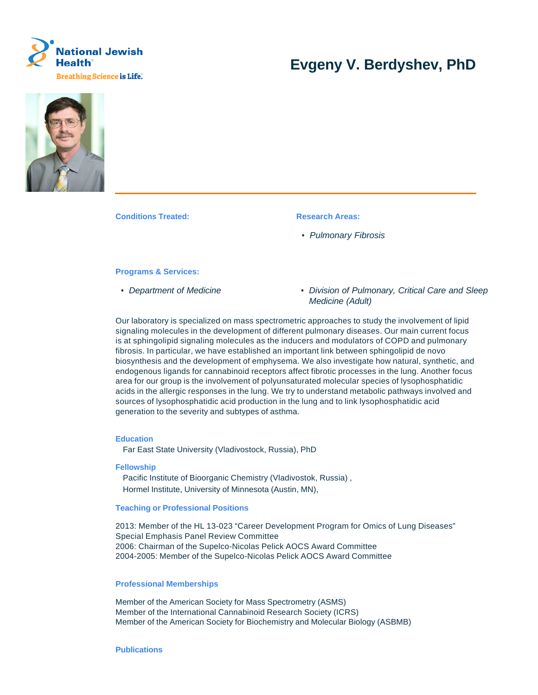

# **Evgeny V. Berdyshev, PhD**



**Conditions Treated: Research Areas:** 

• Pulmonary Fibrosis

#### **Programs & Services:**

- 
- Department of Medicine  **Division of Pulmonary, Critical Care and Sleep** Medicine (Adult)

Our laboratory is specialized on mass spectrometric approaches to study the involvement of lipid signaling molecules in the development of different pulmonary diseases. Our main current focus is at sphingolipid signaling molecules as the inducers and modulators of COPD and pulmonary fibrosis. In particular, we have established an important link between sphingolipid de novo biosynthesis and the development of emphysema. We also investigate how natural, synthetic, and endogenous ligands for cannabinoid receptors affect fibrotic processes in the lung. Another focus area for our group is the involvement of polyunsaturated molecular species of lysophosphatidic acids in the allergic responses in the lung. We try to understand metabolic pathways involved and sources of lysophosphatidic acid production in the lung and to link lysophosphatidic acid generation to the severity and subtypes of asthma.

### **Education**

Far East State University (Vladivostock, Russia), PhD

**Fellowship**

Pacific Institute of Bioorganic Chemistry (Vladivostok, Russia) , Hormel Institute, University of Minnesota (Austin, MN),

#### **Teaching or Professional Positions**

2013: Member of the HL 13-023 "Career Development Program for Omics of Lung Diseases" Special Emphasis Panel Review Committee 2006: Chairman of the Supelco-Nicolas Pelick AOCS Award Committee 2004-2005: Member of the Supelco-Nicolas Pelick AOCS Award Committee

## **Professional Memberships**

Member of the American Society for Mass Spectrometry (ASMS) Member of the International Cannabinoid Research Society (ICRS) Member of the American Society for Biochemistry and Molecular Biology (ASBMB)

#### **Publications**